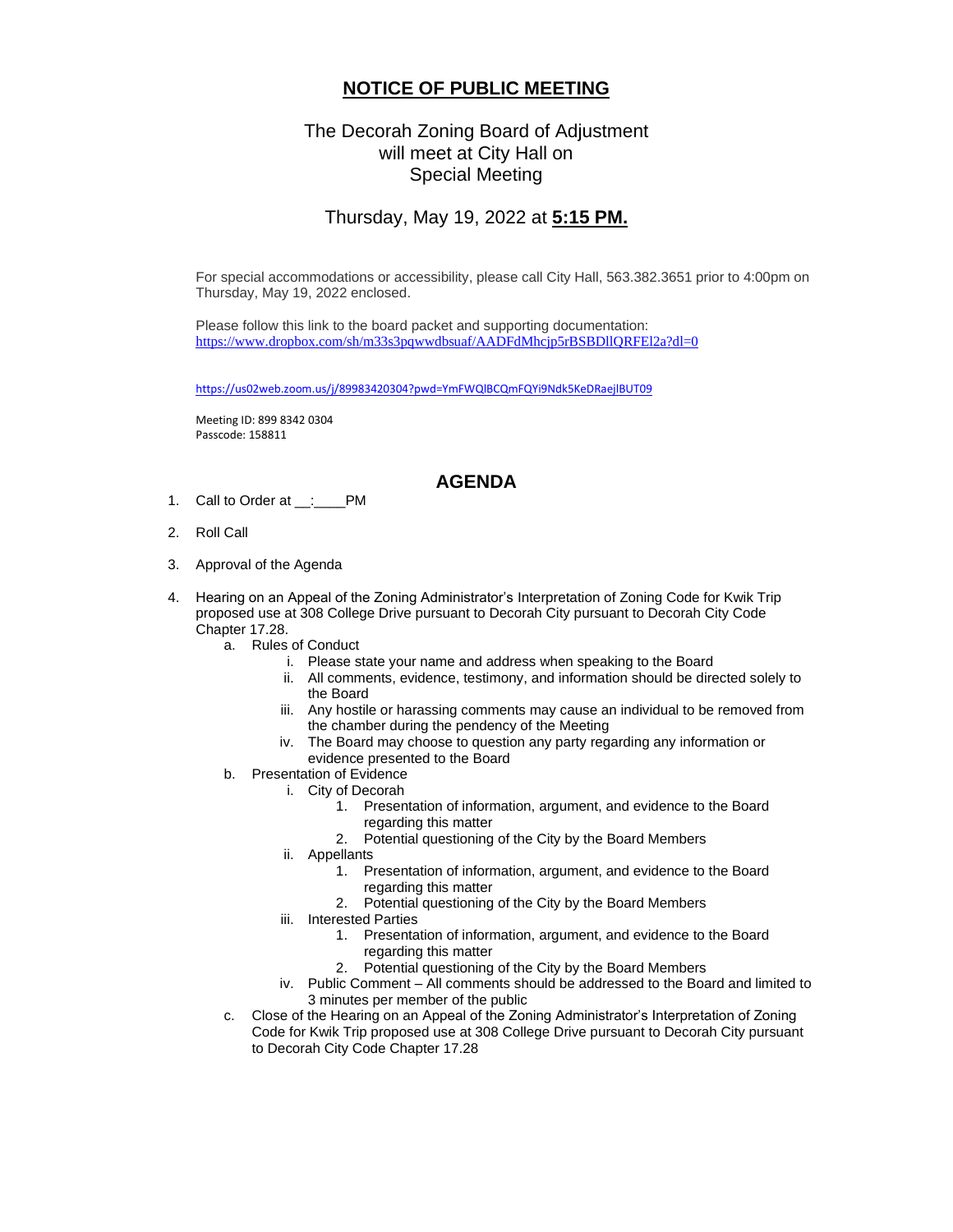## **NOTICE OF PUBLIC MEETING**

## The Decorah Zoning Board of Adjustment will meet at City Hall on Special Meeting

## Thursday, May 19, 2022 at **5:15 PM.**

For special accommodations or accessibility, please call City Hall, 563.382.3651 prior to 4:00pm on Thursday, May 19, 2022 enclosed.

Please follow this link to the board packet and supporting documentation: <https://www.dropbox.com/sh/m33s3pqwwdbsuaf/AADFdMhcjp5rBSBDllQRFEl2a?dl=0>

<https://us02web.zoom.us/j/89983420304?pwd=YmFWQlBCQmFQYi9Ndk5KeDRaejlBUT09>

Meeting ID: 899 8342 0304 Passcode: 158811

## **AGENDA**

- 1. Call to Order at \_\_:\_\_\_\_PM
- 2. Roll Call
- 3. Approval of the Agenda
- 4. Hearing on an Appeal of the Zoning Administrator's Interpretation of Zoning Code for Kwik Trip proposed use at 308 College Drive pursuant to Decorah City pursuant to Decorah City Code Chapter 17.28.
	- a. Rules of Conduct
		- i. Please state your name and address when speaking to the Board
			- ii. All comments, evidence, testimony, and information should be directed solely to the Board
		- iii. Any hostile or harassing comments may cause an individual to be removed from the chamber during the pendency of the Meeting
		- iv. The Board may choose to question any party regarding any information or evidence presented to the Board
	- b. Presentation of Evidence
		- i. City of Decorah
			- 1. Presentation of information, argument, and evidence to the Board regarding this matter
			- 2. Potential questioning of the City by the Board Members
		- ii. Appellants
			- 1. Presentation of information, argument, and evidence to the Board regarding this matter
			- 2. Potential questioning of the City by the Board Members
		- iii. Interested Parties
			- 1. Presentation of information, argument, and evidence to the Board regarding this matter
			- 2. Potential questioning of the City by the Board Members
		- iv. Public Comment All comments should be addressed to the Board and limited to 3 minutes per member of the public
	- c. Close of the Hearing on an Appeal of the Zoning Administrator's Interpretation of Zoning Code for Kwik Trip proposed use at 308 College Drive pursuant to Decorah City pursuant to Decorah City Code Chapter 17.28